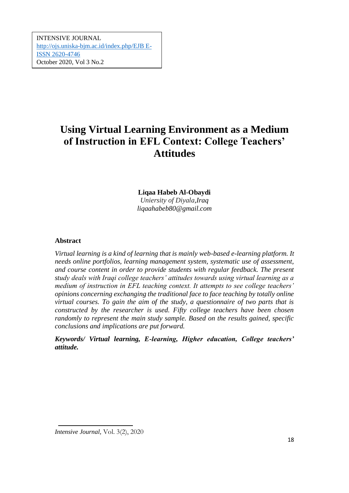*Using Virtual Learning Environment as a Medium of Instruction in EFL Context: College*  [http://ojs.uniska-bjm.ac.id/index.php/EJB E-](http://ojs.uniska-bjm.ac.id/index.php/EJB%20E-ISSN%202620-4746)*Teachers' Attitudes*  [ISSN 2620-4746](http://ojs.uniska-bjm.ac.id/index.php/EJB%20E-ISSN%202620-4746) INTENSIVE JOURNAL October 2020, Vol 3 No.2

# **Using Virtual Learning Environment as a Medium of Instruction in EFL Context: College Teachers' Attitudes**

# **Liqaa Habeb Al-Obaydi**

*Uniersity of Diyala,Iraq liqaahabeb80@gmail.com*

# **Abstract**

*Virtual learning is a kind of learning that is mainly web-based e-learning platform. It needs online portfolios, learning management system, systematic use of assessment, and course content in order to provide students with regular feedback. The present study deals with Iraqi college teachers' attitudes towards using virtual learning as a medium of instruction in EFL teaching context. It attempts to see college teachers' opinions concerning exchanging the traditional face to face teaching by totally online virtual courses. To gain the aim of the study, a questionnaire of two parts that is constructed by the researcher is used. Fifty college teachers have been chosen randomly to represent the main study sample. Based on the results gained, specific conclusions and implications are put forward.* 

*Keywords/ Virtual learning, E-learning, Higher education, College teachers' attitude.* 

*Intensive Journal,* Vol. 3(2), 2020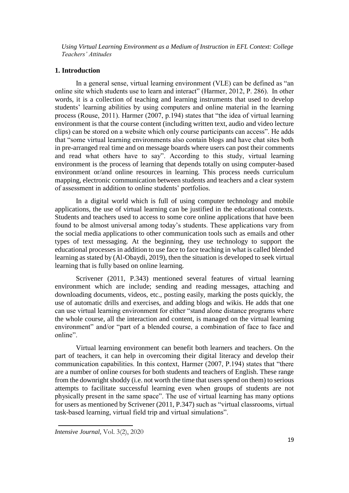#### **1. Introduction**

In a general sense, virtual learning environment (VLE) can be defined as "an online site which students use to learn and interact" (Harmer, 2012, P. 286). In other words, it is a collection of teaching and learning instruments that used to develop students' learning abilities by using computers and online material in the learning process (Rouse, 2011). Harmer (2007, p.194) states that "the idea of virtual learning environment is that the course content (including written text, audio and video lecture clips) can be stored on a website which only course participants can access". He adds that "some virtual learning environments also contain blogs and have chat sites both in pre-arranged real time and on message boards where users can post their comments and read what others have to say". According to this study, virtual learning environment is the process of learning that depends totally on using computer-based environment or/and online resources in learning. This process needs curriculum mapping, electronic communication between students and teachers and a clear system of assessment in addition to online students' portfolios.

In a digital world which is full of using computer technology and mobile applications, the use of virtual learning can be justified in the educational contexts. Students and teachers used to access to some core online applications that have been found to be almost universal among today's students. These applications vary from the social media applications to other communication tools such as emails and other types of text messaging. At the beginning, they use technology to support the educational processes in addition to use face to face teaching in what is called blended learning as stated by (Al-Obaydi, 2019), then the situation is developed to seek virtual learning that is fully based on online learning.

Scrivener (2011, P.343) mentioned several features of virtual learning environment which are include; sending and reading messages, attaching and downloading documents, videos, etc., posting easily, marking the posts quickly, the use of automatic drills and exercises, and adding blogs and wikis. He adds that one can use virtual learning environment for either "stand alone distance programs where the whole course, all the interaction and content, is managed on the virtual learning environment" and/or "part of a blended course, a combination of face to face and online".

Virtual learning environment can benefit both learners and teachers. On the part of teachers, it can help in overcoming their digital literacy and develop their communication capabilities. In this context, Harmer (2007, P.194) states that "there are a number of online courses for both students and teachers of English. These range from the downright shoddy (i.e. not worth the time that users spend on them) to serious attempts to facilitate successful learning even when groups of students are not physically present in the same space". The use of virtual learning has many options for users as mentioned by Scrivener (2011, P.347) such as "virtual classrooms, virtual task-based learning, virtual field trip and virtual simulations".

*Intensive Journal,* Vol. 3(2), 2020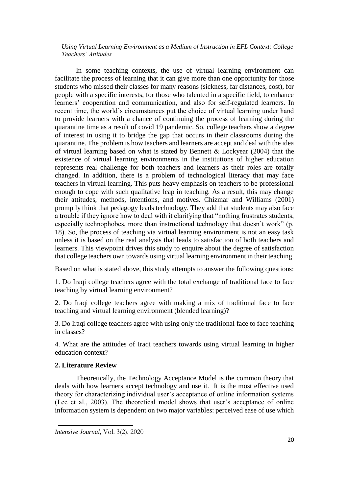In some teaching contexts, the use of virtual learning environment can facilitate the process of learning that it can give more than one opportunity for those students who missed their classes for many reasons (sickness, far distances, cost), for people with a specific interests, for those who talented in a specific field, to enhance learners' cooperation and communication, and also for self-regulated learners. In recent time, the world's circumstances put the choice of virtual learning under hand to provide learners with a chance of continuing the process of learning during the quarantine time as a result of covid 19 pandemic. So, college teachers show a degree of interest in using it to bridge the gap that occurs in their classrooms during the quarantine. The problem is how teachers and learners are accept and deal with the idea of virtual learning based on what is stated by Bennett & Lockyear (2004) that the existence of virtual learning environments in the institutions of higher education represents real challenge for both teachers and learners as their roles are totally changed. In addition, there is a problem of technological literacy that may face teachers in virtual learning. This puts heavy emphasis on teachers to be professional enough to cope with such qualitative leap in teaching. As a result, this may change their attitudes, methods, intentions, and motives. Chizmar and Williams (2001) promptly think that pedagogy leads technology. They add that students may also face a trouble if they ignore how to deal with it clarifying that "nothing frustrates students, especially technophobes, more than instructional technology that doesn't work" (p. 18). So, the process of teaching via virtual learning environment is not an easy task unless it is based on the real analysis that leads to satisfaction of both teachers and learners. This viewpoint drives this study to enquire about the degree of satisfaction that college teachers own towards using virtual learning environment in their teaching.

Based on what is stated above, this study attempts to answer the following questions:

1. Do Iraqi college teachers agree with the total exchange of traditional face to face teaching by virtual learning environment?

2. Do Iraqi college teachers agree with making a mix of traditional face to face teaching and virtual learning environment (blended learning)?

3. Do Iraqi college teachers agree with using only the traditional face to face teaching in classes?

4. What are the attitudes of Iraqi teachers towards using virtual learning in higher education context?

#### **2. Literature Review**

Theoretically, the Technology Acceptance Model is the common theory that deals with how learners accept technology and use it. It is the most effective used theory for characterizing individual user's acceptance of online information systems (Lee et al., 2003). The theoretical model shows that user's acceptance of online information system is dependent on two major variables: perceived ease of use which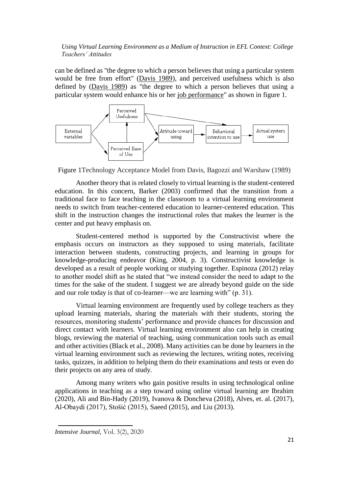can be defined as "the degree to which a person believes that using a particular system would be free from effort" [\(Davis 1989\)](https://en.wikipedia.org/wiki/Technology_acceptance_model#CITEREFDavis1989), and perceived usefulness which is also defined by [\(Davis 1989\)](https://en.wikipedia.org/wiki/Technology_acceptance_model#CITEREFDavis1989) as "the degree to which a person believes that using a particular system would enhance his or her [job performance"](https://en.wikipedia.org/wiki/Job_performance) as shown in figure 1.



Figure 1Technology Acceptance Model from Davis, Bagozzi and Warshaw (1989)

Another theory that is related closely to virtual learning is the student-centered education. In this concern, Barker (2003) confirmed that the transition from a traditional face to face teaching in the classroom to a virtual learning environment needs to switch from teacher-centered education to learner-centered education. This shift in the instruction changes the instructional roles that makes the learner is the center and put heavy emphasis on.

Student-centered method is supported by the Constructivist where the emphasis occurs on instructors as they supposed to using materials, facilitate interaction between students, constructing projects, and learning in groups for knowledge-producing endeavor (King, 2004, p. 3). Constructivist knowledge is developed as a result of people working or studying together. Espinoza (2012) relay to another model shift as he stated that "we instead consider the need to adapt to the times for the sake of the student. I suggest we are already beyond guide on the side and our role today is that of co-learner––we are learning with" (p. 31).

Virtual learning environment are frequently used by college teachers as they upload learning materials, sharing the materials with their students, storing the resources, monitoring students' performance and provide chances for discussion and direct contact with learners. Virtual learning environment also can help in creating blogs, reviewing the material of teaching, using communication tools such as email and other activities (Black et al., 2008). Many activities can be done by learners in the virtual learning environment such as reviewing the lectures, writing notes, receiving tasks, quizzes, in addition to helping them do their examinations and tests or even do their projects on any area of study.

Among many writers who gain positive results in using technological online applications in teaching as a step toward using online virtual learning are Ibrahim (2020), Ali and Bin-Hady (2019), Ivanova & Doncheva (2018), Alves, et. al. (2017), Al-Obaydi (2017), Stošić (2015), Saeed (2015), and Liu (2013).

*Intensive Journal,* Vol. 3(2), 2020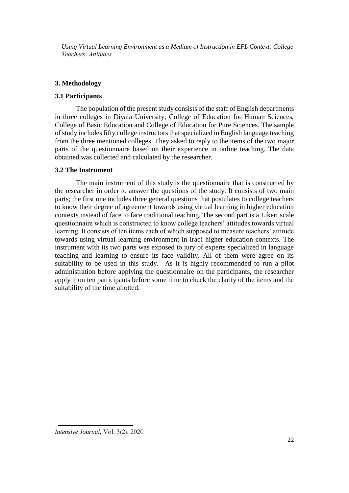## **3. Methodology**

## **3.1 Participants**

The population of the present study consists of the staff of English departments in three colleges in Diyala University; College of Education for Human Sciences, College of Basic Education and College of Education for Pure Sciences. The sample of study includes fifty college instructors that specialized in English language teaching from the three mentioned colleges. They asked to reply to the items of the two major parts of the questionnaire based on their experience in online teaching. The data obtained was collected and calculated by the researcher.

# **3.2 The Instrument**

The main instrument of this study is the questionnaire that is constructed by the researcher in order to answer the questions of the study. It consists of two main parts; the first one includes three general questions that postulates to college teachers to know their degree of agreement towards using virtual learning in higher education contexts instead of face to face traditional teaching. The second part is a Likert scale questionnaire which is constructed to know college teachers' attitudes towards virtual learning. It consists of ten items each of which supposed to measure teachers' attitude towards using virtual learning environment in Iraqi higher education contexts. The instrument with its two parts was exposed to jury of experts specialized in language teaching and learning to ensure its face validity. All of them were agree on its suitability to be used in this study. As it is highly recommended to run a pilot administration before applying the questionnaire on the participants, the researcher apply it on ten participants before some time to check the clarity of the items and the suitability of the time allotted.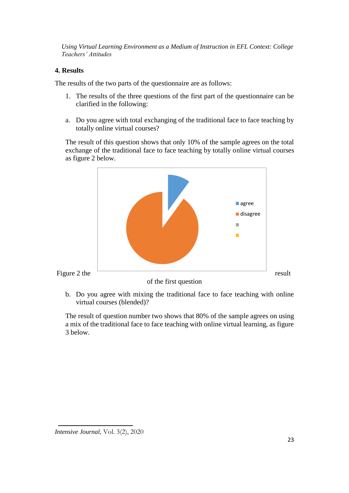# **4. Results**

The results of the two parts of the questionnaire are as follows:

- 1. The results of the three questions of the first part of the questionnaire can be clarified in the following:
- a. Do you agree with total exchanging of the traditional face to face teaching by totally online virtual courses?

The result of this question shows that only 10% of the sample agrees on the total exchange of the traditional face to face teaching by totally online virtual courses as figure 2 below.



b. Do you agree with mixing the traditional face to face teaching with online virtual courses (blended)?

The result of question number two shows that 80% of the sample agrees on using a mix of the traditional face to face teaching with online virtual learning, as figure 3 below.

*Intensive Journal,* Vol. 3(2), 2020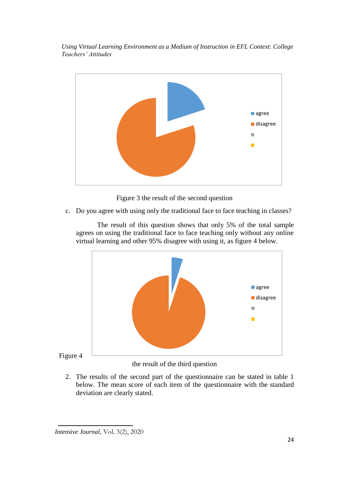

Figure 3 the result of the second question

c. Do you agree with using only the traditional face to face teaching in classes?

The result of this question shows that only 5% of the total sample agrees on using the traditional face to face teaching only without any online virtual learning and other 95% disagree with using it, as figure 4 below.



Figure 4

the result of the third question

2. The results of the second part of the questionnaire can be stated in table 1 below. The mean score of each item of the questionnaire with the standard deviation are clearly stated.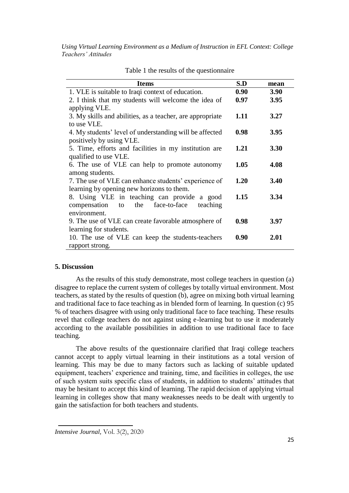| <b>Items</b>                                              | S.D  | mean        |
|-----------------------------------------------------------|------|-------------|
| 1. VLE is suitable to Iraqi context of education.         | 0.90 | 3.90        |
| 2. I think that my students will welcome the idea of      | 0.97 | 3.95        |
| applying VLE.                                             |      |             |
| 3. My skills and abilities, as a teacher, are appropriate | 1.11 | 3.27        |
| to use VLE.                                               |      |             |
| 4. My students' level of understanding will be affected   | 0.98 | 3.95        |
| positively by using VLE.                                  |      |             |
| 5. Time, efforts and facilities in my institution are     | 1.21 | <b>3.30</b> |
| qualified to use VLE.                                     |      |             |
| 6. The use of VLE can help to promote autonomy            | 1.05 | 4.08        |
| among students.                                           |      |             |
| 7. The use of VLE can enhance students' experience of     | 1.20 | 3.40        |
| learning by opening new horizons to them.                 |      |             |
| 8. Using VLE in teaching can provide a good               | 1.15 | 3.34        |
| teaching<br>compensation to the<br>face-to-face           |      |             |
| environment.                                              |      |             |
| 9. The use of VLE can create favorable atmosphere of      | 0.98 | 3.97        |
| learning for students.                                    |      |             |
| 10. The use of VLE can keep the students-teachers         | 0.90 | 2.01        |
| rapport strong.                                           |      |             |

Table 1 the results of the questionnaire

#### **5. Discussion**

As the results of this study demonstrate, most college teachers in question (a) disagree to replace the current system of colleges by totally virtual environment. Most teachers, as stated by the results of question (b), agree on mixing both virtual learning and traditional face to face teaching as in blended form of learning. In question (c) 95 % of teachers disagree with using only traditional face to face teaching. These results revel that college teachers do not against using e-learning but to use it moderately according to the available possibilities in addition to use traditional face to face teaching.

The above results of the questionnaire clarified that Iraqi college teachers cannot accept to apply virtual learning in their institutions as a total version of learning. This may be due to many factors such as lacking of suitable updated equipment, teachers' experience and training, time, and facilities in colleges, the use of such system suits specific class of students, in addition to students' attitudes that may be hesitant to accept this kind of learning. The rapid decision of applying virtual learning in colleges show that many weaknesses needs to be dealt with urgently to gain the satisfaction for both teachers and students.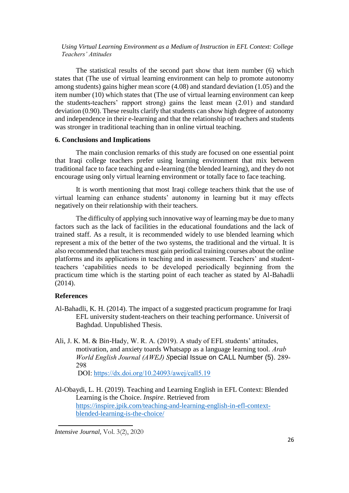The statistical results of the second part show that item number (6) which states that (The use of virtual learning environment can help to promote autonomy among students) gains higher mean score (4.08) and standard deviation (1.05) and the item number (10) which states that (The use of virtual learning environment can keep the students-teachers' rapport strong) gains the least mean (2.01) and standard deviation (0.90). These results clarify that students can show high degree of autonomy and independence in their e-learning and that the relationship of teachers and students was stronger in traditional teaching than in online virtual teaching.

## **6. Conclusions and Implications**

The main conclusion remarks of this study are focused on one essential point that Iraqi college teachers prefer using learning environment that mix between traditional face to face teaching and e-learning (the blended learning), and they do not encourage using only virtual learning environment or totally face to face teaching.

It is worth mentioning that most Iraqi college teachers think that the use of virtual learning can enhance students' autonomy in learning but it may effects negatively on their relationship with their teachers.

The difficulty of applying such innovative way of learning may be due to many factors such as the lack of facilities in the educational foundations and the lack of trained staff. As a result, it is recommended widely to use blended learning which represent a mix of the better of the two systems, the traditional and the virtual. It is also recommended that teachers must gain periodical training courses about the online platforms and its applications in teaching and in assessment. Teachers' and studentteachers 'capabilities needs to be developed periodically beginning from the practicum time which is the starting point of each teacher as stated by Al-Bahadli (2014).

## **References**

- Al-Bahadli, K. H. (2014). The impact of a suggested practicum programme for Iraqi EFL university student-teachers on their teaching performance. Universit of Baghdad. Unpublished Thesis.
- Ali, J. K. M. & Bin-Hady, W. R. A. (2019). A study of EFL students' attitudes, motivation, and anxiety toards Whatsapp as a language learning tool. *Arab World English Journal (AWEJ) S*pecial Issue on CALL Number (5). 289- 298

DOI:<https://dx.doi.org/10.24093/awej/call5.19>

Al-Obaydi, L. H. (2019). Teaching and Learning English in EFL Context: Blended Learning is the Choice. *Inspire*. Retrieved from [https://inspire.jpik.com/teaching-and-learning-english-in-efl-context](https://inspire.jpik.com/teaching-and-learning-english-in-efl-context-blended-learning-is-the-choice/)[blended-learning-is-the-choice/](https://inspire.jpik.com/teaching-and-learning-english-in-efl-context-blended-learning-is-the-choice/)

*Intensive Journal,* Vol. 3(2), 2020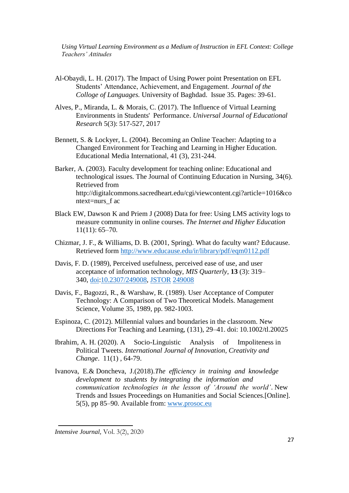- Al-Obaydi, L. H. (2017). The Impact of Using Power point Presentation on EFL Students' Attendance, Achievement, and Engagement. *Journal of the Colloge of Languages.* University of Baghdad. Issue 35. Pages: 39-61.
- Alves, P., Miranda, L. & Morais, C. (2017). The Influence of Virtual Learning Environments in Students' Performance. *Universal Journal of Educational Research* 5(3): 517-527, 2017
- Bennett, S. & Lockyer, L. (2004). Becoming an Online Teacher: Adapting to a Changed Environment for Teaching and Learning in Higher Education. Educational Media International, 41 (3), 231-244.
- Barker, A. (2003). Faculty development for teaching online: Educational and technological issues. The Journal of Continuing Education in Nursing, 34(6). Retrieved from http://digitalcommons.sacredheart.edu/cgi/viewcontent.cgi?article=1016&co ntext=nurs\_f ac
- Black EW, Dawson K and Priem J (2008) Data for free: Using LMS activity logs to measure community in online courses. *The Internet and Higher Education* 11(11): 65–70.
- Chizmar, J. F., & Williams, D. B. (2001, Spring). What do faculty want? Educause. Retrieved form<http://www.educause.edu/ir/library/pdf/eqm0112.pdf>
- Davis, F. D. (1989), Perceived usefulness, perceived ease of use, and user acceptance of information technology, *MIS Quarterly*, **13** (3): 319– 340, [doi](https://en.wikipedia.org/wiki/Doi_(identifier))[:10.2307/249008,](https://doi.org/10.2307%2F249008) [JSTOR](https://en.wikipedia.org/wiki/JSTOR_(identifier)) [249008](https://www.jstor.org/stable/249008)
- Davis, F., Bagozzi, R., & Warshaw, R. (1989). User Acceptance of Computer Technology: A Comparison of Two Theoretical Models. Management Science, Volume 35, 1989, pp. 982-1003.
- Espinoza, C. (2012). Millennial values and boundaries in the classroom. New Directions For Teaching and Learning, (131), 29–41. doi: 10.1002/tl.20025
- Ibrahim, A. H. (2020). A Socio-Linguistic Analysis of Impoliteness in Political Tweets. *International Journal of Innovation, Creativity and Change*. 11(1) , 64-79.
- Ivanova, E.& Doncheva, J.(2018).*The efficiency in training and knowledge development to students by integrating the information and communication technologies in the lesson of 'Around the world'*. New Trends and Issues Proceedings on Humanities and Social Sciences.[Online]. 5(5), pp 85–90. Available from: [www.prosoc.eu](http://www.prosoc.eu/)

*Intensive Journal,* Vol. 3(2), 2020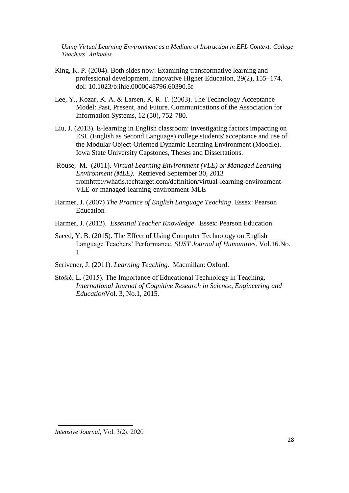- King, K. P. (2004). Both sides now: Examining transformative learning and professional development. Innovative Higher Education, 29(2), 155–174. doi: 10.1023/b:ihie.0000048796.60390.5f
- Lee, Y., Kozar, K. A. & Larsen, K. R. T. (2003). The Technology Acceptance Model: Past, Present, and Future. Communications of the Association for Information Systems, 12 (50), 752-780.
- Liu, J. (2013). E-learning in English classroom: Investigating factors impacting on ESL (English as Second Language) college students' acceptance and use of the Modular Object-Oriented Dynamic Learning Environment (Moodle). Iowa State University Capstones, Theses and Dissertations.
- Rouse, M. (2011). *Virtual Learning Environment (VLE) or Managed Learning Environment (MLE).* Retrieved September 30, 2013 fromhttp://whatis.techtarget.com/definition/virtual-learning-environment-VLE-or-managed-learning-environment-MLE
- Harmer, J. (2007) *The Practice of English Language Teaching*. Essex: Pearson Education
- Harmer, J. (2012). *Essential Teacher Knowledge*. Essex: Pearson Education
- Saeed, Y. B. (2015). The Effect of Using Computer Technology on English Language Teachers' Performance. *SUST Journal of Humanities*. Vol.16.No. 1
- Scrivener, J. (2011). *Learning Teaching*. Macmillan: Oxford.
- Stošić, L. (2015). The Importance of Educational Technology in Teaching. *International Journal of Cognitive Research in Science, Engineering and Education*Vol. 3, No.1, 2015.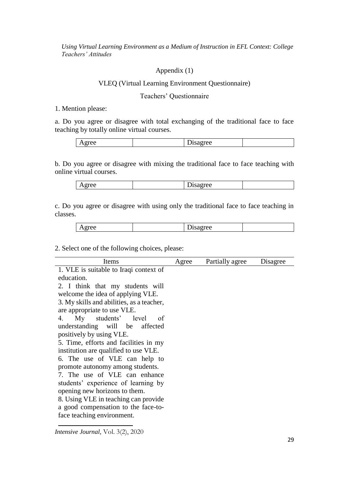#### Appendix (1)

# VLEQ (Virtual Learning Environment Questionnaire)

#### Teachers' Questionnaire

#### 1. Mention please:

a. Do you agree or disagree with total exchanging of the traditional face to face teaching by totally online virtual courses.

| rrac<br>۵Δ<br>.<br>$\cdots$<br>$\Delta$ <b>E</b><br>UW<br>້ |
|-------------------------------------------------------------|
|-------------------------------------------------------------|

b. Do you agree or disagree with mixing the traditional face to face teaching with online virtual courses.

c. Do you agree or disagree with using only the traditional face to face teaching in classes.

| $\lambda$<br>. .<br>--<br>- |
|-----------------------------|
|-----------------------------|

2. Select one of the following choices, please:

| Items                                     | Agree | Partially agree | Disagree |
|-------------------------------------------|-------|-----------------|----------|
| 1. VLE is suitable to Iraqi context of    |       |                 |          |
| education.                                |       |                 |          |
| 2. I think that my students will          |       |                 |          |
| welcome the idea of applying VLE.         |       |                 |          |
| 3. My skills and abilities, as a teacher, |       |                 |          |
| are appropriate to use VLE.               |       |                 |          |
| My students' level<br>4.<br><sub>of</sub> |       |                 |          |
| understanding will be affected            |       |                 |          |
| positively by using VLE.                  |       |                 |          |
| 5. Time, efforts and facilities in my     |       |                 |          |
| institution are qualified to use VLE.     |       |                 |          |
| 6. The use of VLE can help to             |       |                 |          |
| promote autonomy among students.          |       |                 |          |
| 7. The use of VLE can enhance             |       |                 |          |
| students' experience of learning by       |       |                 |          |
| opening new horizons to them.             |       |                 |          |
| 8. Using VLE in teaching can provide      |       |                 |          |
| a good compensation to the face-to-       |       |                 |          |
| face teaching environment.                |       |                 |          |
|                                           |       |                 |          |